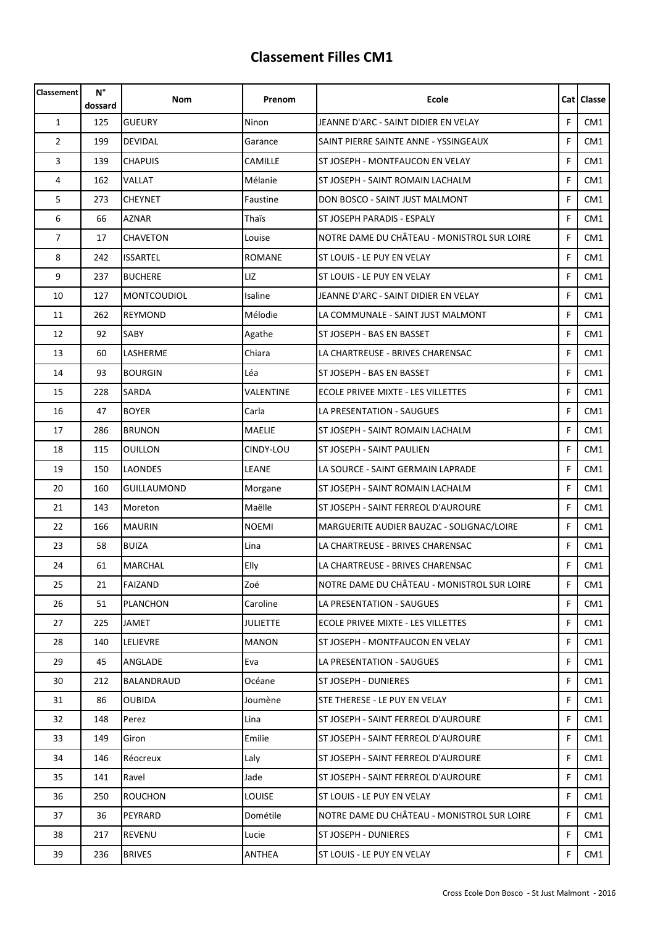| <b>Classement</b> | $N^{\circ}$<br>dossard | Nom                | Prenom        | Ecole                                       |   | <b>Cat   Classe</b> |
|-------------------|------------------------|--------------------|---------------|---------------------------------------------|---|---------------------|
| $\mathbf{1}$      | 125                    | <b>GUEURY</b>      | Ninon         | JEANNE D'ARC - SAINT DIDIER EN VELAY        | F | CM <sub>1</sub>     |
| $\overline{2}$    | 199                    | <b>DEVIDAL</b>     | Garance       | SAINT PIERRE SAINTE ANNE - YSSINGEAUX       | F | CM1                 |
| 3                 | 139                    | <b>CHAPUIS</b>     | CAMILLE       | ST JOSEPH - MONTFAUCON EN VELAY             | F | CM <sub>1</sub>     |
| 4                 | 162                    | VALLAT             | Mélanie       | ST JOSEPH - SAINT ROMAIN LACHALM            | F | CM <sub>1</sub>     |
| 5                 | 273                    | <b>CHEYNET</b>     | Faustine      | DON BOSCO - SAINT JUST MALMONT              | F | CM1                 |
| 6                 | 66                     | <b>AZNAR</b>       | Thaïs         | <b>ST JOSEPH PARADIS - ESPALY</b>           | F | CM <sub>1</sub>     |
| $\overline{7}$    | 17                     | <b>CHAVETON</b>    | Louise        | NOTRE DAME DU CHÂTEAU - MONISTROL SUR LOIRE | F | CM1                 |
| 8                 | 242                    | <b>ISSARTEL</b>    | <b>ROMANE</b> | ST LOUIS - LE PUY EN VELAY                  | F | CM1                 |
| 9                 | 237                    | <b>BUCHERE</b>     | LIZ           | ST LOUIS - LE PUY EN VELAY                  | F | CM1                 |
| 10                | 127                    | <b>MONTCOUDIOL</b> | Isaline       | JEANNE D'ARC - SAINT DIDIER EN VELAY        | F | CM1                 |
| 11                | 262                    | REYMOND            | Mélodie       | LA COMMUNALE - SAINT JUST MALMONT           | F | CM1                 |
| 12                | 92                     | SABY               | Agathe        | ST JOSEPH - BAS EN BASSET                   | F | CM1                 |
| 13                | 60                     | LASHERME           | Chiara        | LA CHARTREUSE - BRIVES CHARENSAC            | F | CM1                 |
| 14                | 93                     | <b>BOURGIN</b>     | Léa           | ST JOSEPH - BAS EN BASSET                   | F | CM1                 |
| 15                | 228                    | <b>SARDA</b>       | VALENTINE     | ECOLE PRIVEE MIXTE - LES VILLETTES          | F | CM <sub>1</sub>     |
| 16                | 47                     | <b>BOYER</b>       | Carla         | LA PRESENTATION - SAUGUES                   | F | CM <sub>1</sub>     |
| 17                | 286                    | <b>BRUNON</b>      | <b>MAELIE</b> | ST JOSEPH - SAINT ROMAIN LACHALM            | F | CM1                 |
| 18                | 115                    | <b>OUILLON</b>     | CINDY-LOU     | ST JOSEPH - SAINT PAULIEN                   | F | CM <sub>1</sub>     |
| 19                | 150                    | LAONDES            | LEANE         | LA SOURCE - SAINT GERMAIN LAPRADE           | F | CM1                 |
| 20                | 160                    | <b>GUILLAUMOND</b> | Morgane       | ST JOSEPH - SAINT ROMAIN LACHALM            | F | CM1                 |
| 21                | 143                    | Moreton            | Maëlle        | ST JOSEPH - SAINT FERREOL D'AUROURE         | F | CM1                 |
| 22                | 166                    | <b>MAURIN</b>      | <b>NOEMI</b>  | MARGUERITE AUDIER BAUZAC - SOLIGNAC/LOIRE   | F | CM1                 |
| 23                | 58                     | <b>BUIZA</b>       | Lina          | LA CHARTREUSE - BRIVES CHARENSAC            | F | CM1                 |
| 24                | 61                     | <b>MARCHAL</b>     | Elly          | LA CHARTREUSE - BRIVES CHARENSAC            | F | CM1                 |
| 25                | 21                     | <b>FAIZAND</b>     | Zoé           | NOTRE DAME DU CHÂTEAU - MONISTROL SUR LOIRE | F | CM1                 |
| 26                | 51                     | <b>PLANCHON</b>    | Caroline      | LA PRESENTATION - SAUGUES                   | F | CM1                 |
| 27                | 225                    | <b>JAMET</b>       | JULIETTE      | ECOLE PRIVEE MIXTE - LES VILLETTES          | F | CM <sub>1</sub>     |
| 28                | 140                    | LELIEVRE           | <b>MANON</b>  | ST JOSEPH - MONTFAUCON EN VELAY             | F | CM1                 |
| 29                | 45                     | ANGLADE            | Eva           | LA PRESENTATION - SAUGUES                   | F | CM1                 |
| 30                | 212                    | BALANDRAUD         | Océane        | ST JOSEPH - DUNIERES                        | F | CM1                 |
| 31                | 86                     | <b>OUBIDA</b>      | Joumène       | STE THERESE - LE PUY EN VELAY               | F | CM <sub>1</sub>     |
| 32                | 148                    | Perez              | Lina          | ST JOSEPH - SAINT FERREOL D'AUROURE         | F | CM1                 |
| 33                | 149                    | Giron              | Emilie        | ST JOSEPH - SAINT FERREOL D'AUROURE         | F | CM1                 |
| 34                | 146                    | Réocreux           | Laly          | ST JOSEPH - SAINT FERREOL D'AUROURE         | F | CM1                 |
| 35                | 141                    | Ravel              | Jade          | ST JOSEPH - SAINT FERREOL D'AUROURE         | F | CM1                 |
| 36                | 250                    | <b>ROUCHON</b>     | LOUISE        | ST LOUIS - LE PUY EN VELAY                  | F | CM1                 |
| 37                | 36                     | PEYRARD            | Dométile      | NOTRE DAME DU CHÂTEAU - MONISTROL SUR LOIRE | F | CM1                 |
| 38                | 217                    | <b>REVENU</b>      | Lucie         | ST JOSEPH - DUNIERES                        | F | CM1                 |
| 39                | 236                    | <b>BRIVES</b>      | ANTHEA        | ST LOUIS - LE PUY EN VELAY                  | F | CM1                 |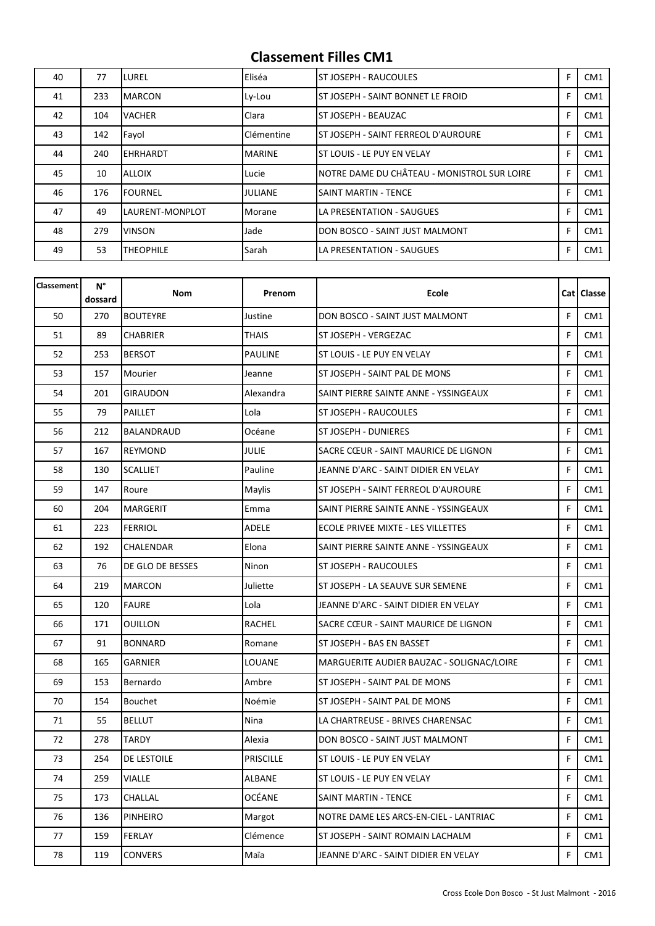| 40 | 77  | LUREL            | Eliséa        | ST JOSEPH - RAUCOULES                       | F | CM <sub>1</sub> |
|----|-----|------------------|---------------|---------------------------------------------|---|-----------------|
| 41 | 233 | <b>MARCON</b>    | Ly-Lou        | ST JOSEPH - SAINT BONNET LE FROID           | F | CM <sub>1</sub> |
| 42 | 104 | <b>VACHER</b>    | Clara         | IST JOSEPH - BEAUZAC                        | F | CM <sub>1</sub> |
| 43 | 142 | Fayol            | Clémentine    | ST JOSEPH - SAINT FERREOL D'AUROURE         | F | CM <sub>1</sub> |
| 44 | 240 | EHRHARDT         | <b>MARINE</b> | ST LOUIS - LE PUY EN VELAY                  | F | CM <sub>1</sub> |
| 45 | 10  | <b>ALLOIX</b>    | Lucie         | NOTRE DAME DU CHÂTEAU - MONISTROL SUR LOIRE | F | CM <sub>1</sub> |
| 46 | 176 | <b>FOURNEL</b>   | JULIANE       | ISAINT MARTIN - TENCE                       | F | CM <sub>1</sub> |
| 47 | 49  | LAURENT-MONPLOT  | Morane        | LA PRESENTATION - SAUGUES                   | F | CM <sub>1</sub> |
| 48 | 279 | <b>VINSON</b>    | Jade          | DON BOSCO - SAINT JUST MALMONT              | F | CM <sub>1</sub> |
| 49 | 53  | <b>THEOPHILE</b> | Sarah         | LA PRESENTATION - SAUGUES                   | F | CM <sub>1</sub> |

| <b>Classement</b> | N°<br>dossard | Nom              | Prenom           | Ecole                                     |   | Cat   Classe    |
|-------------------|---------------|------------------|------------------|-------------------------------------------|---|-----------------|
| 50                | 270           | <b>BOUTEYRE</b>  | Justine          | DON BOSCO - SAINT JUST MALMONT            | F | CM <sub>1</sub> |
| 51                | 89            | <b>CHABRIER</b>  | <b>THAIS</b>     | ST JOSEPH - VERGEZAC                      | F | CM1             |
| 52                | 253           | <b>BERSOT</b>    | <b>PAULINE</b>   | ST LOUIS - LE PUY EN VELAY                | F | CM <sub>1</sub> |
| 53                | 157           | Mourier          | Jeanne           | ST JOSEPH - SAINT PAL DE MONS             | F | CM <sub>1</sub> |
| 54                | 201           | GIRAUDON         | Alexandra        | SAINT PIERRE SAINTE ANNE - YSSINGEAUX     | F | CM <sub>1</sub> |
| 55                | 79            | PAILLET          | Lola             | ST JOSEPH - RAUCOULES                     | F | CM1             |
| 56                | 212           | BALANDRAUD       | Océane           | ST JOSEPH - DUNIERES                      | F | CM <sub>1</sub> |
| 57                | 167           | REYMOND          | JULIE            | SACRE CŒUR - SAINT MAURICE DE LIGNON      | F | CM <sub>1</sub> |
| 58                | 130           | <b>SCALLIET</b>  | Pauline          | JEANNE D'ARC - SAINT DIDIER EN VELAY      | F | CM1             |
| 59                | 147           | Roure            | Maylis           | ST JOSEPH - SAINT FERREOL D'AUROURE       | F | CM <sub>1</sub> |
| 60                | 204           | <b>MARGERIT</b>  | Emma             | SAINT PIERRE SAINTE ANNE - YSSINGEAUX     | F | CM1             |
| 61                | 223           | <b>FERRIOL</b>   | ADELE            | ECOLE PRIVEE MIXTE - LES VILLETTES        | F | CM1             |
| 62                | 192           | CHALENDAR        | Elona            | SAINT PIERRE SAINTE ANNE - YSSINGEAUX     | F | CM1             |
| 63                | 76            | DE GLO DE BESSES | Ninon            | ST JOSEPH - RAUCOULES                     | F | CM <sub>1</sub> |
| 64                | 219           | <b>MARCON</b>    | Juliette         | ST JOSEPH - LA SEAUVE SUR SEMENE          | F | CM <sub>1</sub> |
| 65                | 120           | <b>FAURE</b>     | Lola             | JEANNE D'ARC - SAINT DIDIER EN VELAY      | F | CM <sub>1</sub> |
| 66                | 171           | <b>OUILLON</b>   | RACHEL           | SACRE CŒUR - SAINT MAURICE DE LIGNON      | F | CM1             |
| 67                | 91            | <b>BONNARD</b>   | Romane           | ST JOSEPH - BAS EN BASSET                 | F | CM <sub>1</sub> |
| 68                | 165           | GARNIER          | LOUANE           | MARGUERITE AUDIER BAUZAC - SOLIGNAC/LOIRE | F | CM1             |
| 69                | 153           | Bernardo         | Ambre            | ST JOSEPH - SAINT PAL DE MONS             | F | CM1             |
| 70                | 154           | <b>Bouchet</b>   | Noémie           | ST JOSEPH - SAINT PAL DE MONS             | F | CM1             |
| 71                | 55            | <b>BELLUT</b>    | Nina             | LA CHARTREUSE - BRIVES CHARENSAC          | F | CM1             |
| 72                | 278           | <b>TARDY</b>     | Alexia           | DON BOSCO - SAINT JUST MALMONT            | F | CM1             |
| 73                | 254           | DE LESTOILE      | <b>PRISCILLE</b> | ST LOUIS - LE PUY EN VELAY                | F | CM1             |
| 74                | 259           | VIALLE           | ALBANE           | ST LOUIS - LE PUY EN VELAY                | F | CM1             |
| 75                | 173           | CHALLAL          | OCÉANE           | SAINT MARTIN - TENCE                      | F | CM1             |
| 76                | 136           | PINHEIRO         | Margot           | NOTRE DAME LES ARCS-EN-CIEL - LANTRIAC    | F | CM1             |
| 77                | 159           | <b>FERLAY</b>    | Clémence         | ST JOSEPH - SAINT ROMAIN LACHALM          | F | CM1             |
| 78                | 119           | <b>CONVERS</b>   | Maïa             | JEANNE D'ARC - SAINT DIDIER EN VELAY      | F | CM1             |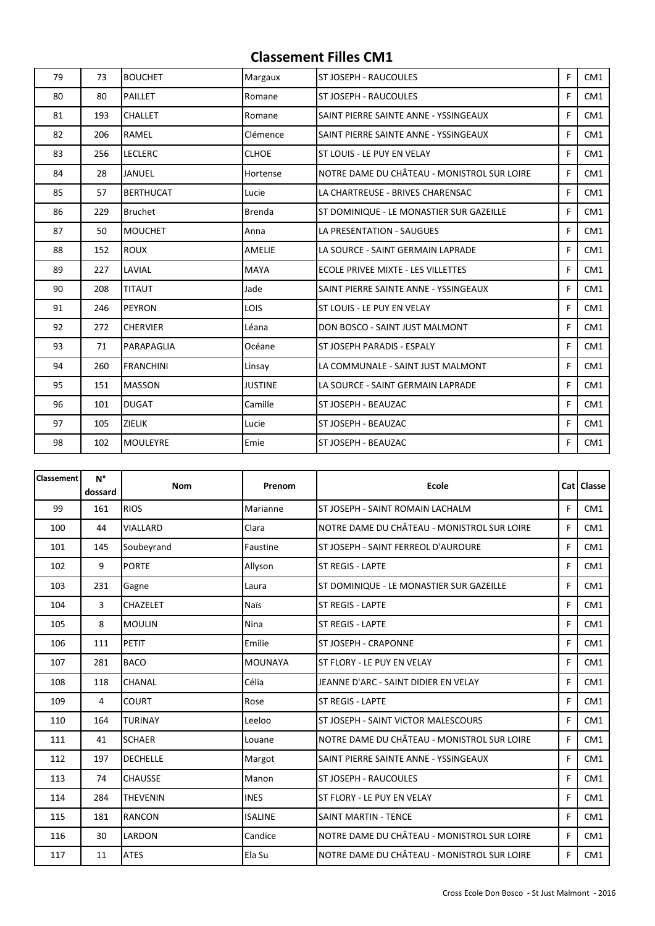| 79 | 73  | <b>BOUCHET</b>   | Margaux        | <b>ST JOSEPH - RAUCOULES</b>                | F | CM <sub>1</sub> |
|----|-----|------------------|----------------|---------------------------------------------|---|-----------------|
| 80 | 80  | <b>PAILLET</b>   | Romane         | <b>ST JOSEPH - RAUCOULES</b>                | F | CM1             |
| 81 | 193 | <b>CHALLET</b>   | Romane         | SAINT PIERRE SAINTE ANNE - YSSINGEAUX       | F | CM1             |
| 82 | 206 | RAMEL            | Clémence       | SAINT PIERRE SAINTE ANNE - YSSINGEAUX       | F | CM1             |
| 83 | 256 | <b>LECLERC</b>   | <b>CLHOE</b>   | ST LOUIS - LE PUY EN VELAY                  | F | CM <sub>1</sub> |
| 84 | 28  | JANUEL           | Hortense       | NOTRE DAME DU CHÂTEAU - MONISTROL SUR LOIRE | F | CM <sub>1</sub> |
| 85 | 57  | <b>BERTHUCAT</b> | Lucie          | LA CHARTREUSE - BRIVES CHARENSAC            | F | CM <sub>1</sub> |
| 86 | 229 | <b>Bruchet</b>   | <b>Brenda</b>  | ST DOMINIQUE - LE MONASTIER SUR GAZEILLE    | F | CM1             |
| 87 | 50  | <b>MOUCHET</b>   | Anna           | LA PRESENTATION - SAUGUES                   | F | CM <sub>1</sub> |
| 88 | 152 | <b>ROUX</b>      | AMELIE         | LA SOURCE - SAINT GERMAIN LAPRADE           | F | CM1             |
| 89 | 227 | LAVIAL           | <b>MAYA</b>    | ECOLE PRIVEE MIXTE - LES VILLETTES          | F | CM1             |
| 90 | 208 | <b>TITAUT</b>    | Jade           | SAINT PIERRE SAINTE ANNE - YSSINGEAUX       | F | CM <sub>1</sub> |
| 91 | 246 | <b>PEYRON</b>    | <b>LOIS</b>    | <b>ST LOUIS - LE PUY EN VELAY</b>           | F | CM <sub>1</sub> |
| 92 | 272 | <b>CHERVIER</b>  | Léana          | DON BOSCO - SAINT JUST MALMONT              | F | CM <sub>1</sub> |
| 93 | 71  | PARAPAGLIA       | Océane         | <b>ST JOSEPH PARADIS - ESPALY</b>           | F | CM <sub>1</sub> |
| 94 | 260 | <b>FRANCHINI</b> | Linsay         | LA COMMUNALE - SAINT JUST MALMONT           | F | CM1             |
| 95 | 151 | <b>MASSON</b>    | <b>JUSTINE</b> | LA SOURCE - SAINT GERMAIN LAPRADE           | F | CM <sub>1</sub> |
| 96 | 101 | <b>DUGAT</b>     | Camille        | ST JOSEPH - BEAUZAC                         | F | CM1             |
| 97 | 105 | <b>ZIELIK</b>    | Lucie          | ST JOSEPH - BEAUZAC                         | F | CM <sub>1</sub> |
| 98 | 102 | <b>MOULEYRE</b>  | Emie           | ST JOSEPH - BEAUZAC                         | F | CM1             |

| <b>Classement</b> | $N^{\circ}$<br>dossard | <b>Nom</b>      | Prenom         | <b>Ecole</b>                                |   | Cat   Classe    |
|-------------------|------------------------|-----------------|----------------|---------------------------------------------|---|-----------------|
| 99                | 161                    | <b>RIOS</b>     | Marianne       | ST JOSEPH - SAINT ROMAIN LACHALM            | F | CM <sub>1</sub> |
| 100               | 44                     | VIALLARD        | Clara          | NOTRE DAME DU CHÂTEAU - MONISTROL SUR LOIRE | F | CM1             |
| 101               | 145                    | Soubeyrand      | Faustine       | ST JOSEPH - SAINT FERREOL D'AUROURE         | F | CM <sub>1</sub> |
| 102               | 9                      | <b>PORTE</b>    | Allyson        | ST REGIS - LAPTE                            | F | CM <sub>1</sub> |
| 103               | 231                    | Gagne           | Laura          | ST DOMINIQUE - LE MONASTIER SUR GAZEILLE    | F | CM1             |
| 104               | 3                      | CHAZELET        | <b>Naïs</b>    | <b>ST REGIS - LAPTE</b>                     | F | CM1             |
| 105               | 8                      | <b>MOULIN</b>   | Nina           | <b>ST REGIS - LAPTE</b>                     | F | CM1             |
| 106               | 111                    | PETIT           | Emilie         | ST JOSEPH - CRAPONNE                        | F | CM1             |
| 107               | 281                    | <b>BACO</b>     | <b>MOUNAYA</b> | ST FLORY - LE PUY EN VELAY                  | F | CM1             |
| 108               | 118                    | CHANAL          | Célia          | JEANNE D'ARC - SAINT DIDIER EN VELAY        | F | CM1             |
| 109               | 4                      | <b>COURT</b>    | Rose           | <b>ST REGIS - LAPTE</b>                     | F | CM1             |
| 110               | 164                    | <b>TURINAY</b>  | Leeloo         | ST JOSEPH - SAINT VICTOR MALESCOURS         | F | CM1             |
| 111               | 41                     | <b>SCHAER</b>   | Louane         | NOTRE DAME DU CHÂTEAU - MONISTROL SUR LOIRE | F | CM1             |
| 112               | 197                    | <b>DECHELLE</b> | Margot         | SAINT PIERRE SAINTE ANNE - YSSINGEAUX       | F | CM <sub>1</sub> |
| 113               | 74                     | <b>CHAUSSE</b>  | Manon          | ST JOSEPH - RAUCOULES                       | F | CM1             |
| 114               | 284                    | <b>THEVENIN</b> | <b>INES</b>    | ST FLORY - LE PUY EN VELAY                  | F | CM1             |
| 115               | 181                    | <b>RANCON</b>   | <b>ISALINE</b> | <b>SAINT MARTIN - TENCE</b>                 | F | CM1             |
| 116               | 30                     | LARDON          | Candice        | NOTRE DAME DU CHÂTEAU - MONISTROL SUR LOIRE | F | CM1             |
| 117               | 11                     | <b>ATES</b>     | Ela Su         | NOTRE DAME DU CHÂTEAU - MONISTROL SUR LOIRE | F | CM1             |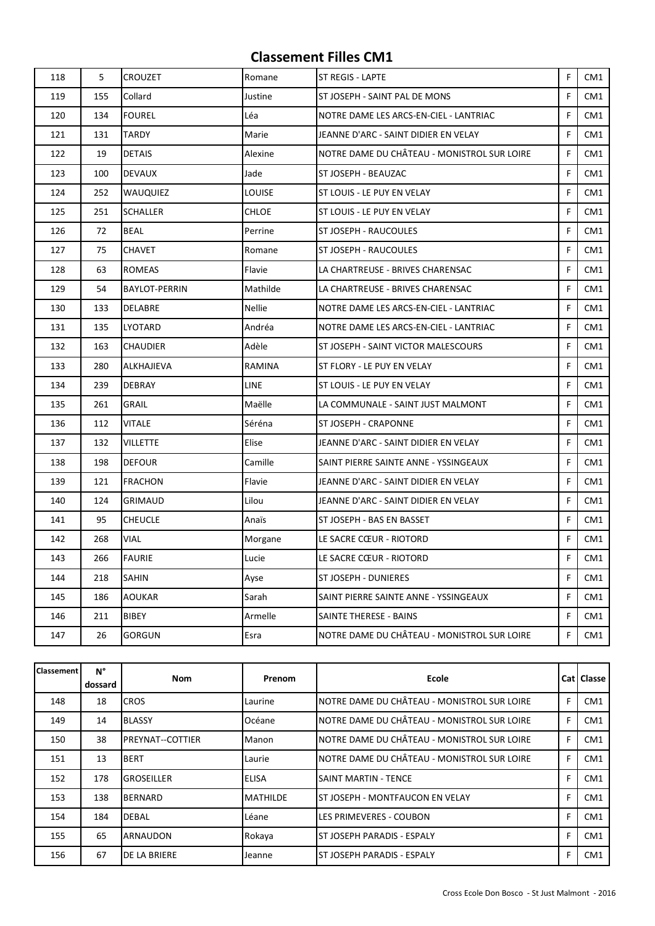| 118 | 5   | <b>CROUZET</b>       | Romane        | <b>ST REGIS - LAPTE</b>                     | F | CM1             |
|-----|-----|----------------------|---------------|---------------------------------------------|---|-----------------|
| 119 | 155 | Collard              | Justine       | ST JOSEPH - SAINT PAL DE MONS               | F | CM1             |
| 120 | 134 | <b>FOUREL</b>        | Léa           | NOTRE DAME LES ARCS-EN-CIEL - LANTRIAC      | F | CM1             |
| 121 | 131 | TARDY                | Marie         | JEANNE D'ARC - SAINT DIDIER EN VELAY        | F | CM1             |
| 122 | 19  | <b>DETAIS</b>        | Alexine       | NOTRE DAME DU CHÂTEAU - MONISTROL SUR LOIRE | F | CM <sub>1</sub> |
| 123 | 100 | <b>DEVAUX</b>        | Jade          | ST JOSEPH - BEAUZAC                         | F | CM1             |
| 124 | 252 | <b>WAUQUIEZ</b>      | LOUISE        | ST LOUIS - LE PUY EN VELAY                  | F | CM1             |
| 125 | 251 | <b>SCHALLER</b>      | <b>CHLOE</b>  | ST LOUIS - LE PUY EN VELAY                  | F | CM <sub>1</sub> |
| 126 | 72  | <b>BEAL</b>          | Perrine       | ST JOSEPH - RAUCOULES                       | F | CM1             |
| 127 | 75  | <b>CHAVET</b>        | Romane        | ST JOSEPH - RAUCOULES                       | F | CM1             |
| 128 | 63  | <b>ROMEAS</b>        | Flavie        | LA CHARTREUSE - BRIVES CHARENSAC            | F | CM1             |
| 129 | 54  | <b>BAYLOT-PERRIN</b> | Mathilde      | LA CHARTREUSE - BRIVES CHARENSAC            | F | CM1             |
| 130 | 133 | <b>DELABRE</b>       | <b>Nellie</b> | NOTRE DAME LES ARCS-EN-CIEL - LANTRIAC      | F | CM <sub>1</sub> |
| 131 | 135 | LYOTARD              | Andréa        | NOTRE DAME LES ARCS-EN-CIEL - LANTRIAC      | F | CM1             |
| 132 | 163 | <b>CHAUDIER</b>      | Adèle         | ST JOSEPH - SAINT VICTOR MALESCOURS         | F | CM <sub>1</sub> |
| 133 | 280 | <b>ALKHAJIEVA</b>    | RAMINA        | ST FLORY - LE PUY EN VELAY                  | F | CM1             |
| 134 | 239 | <b>DEBRAY</b>        | <b>LINE</b>   | ST LOUIS - LE PUY EN VELAY                  | F | CM1             |
| 135 | 261 | <b>GRAIL</b>         | Maëlle        | LA COMMUNALE - SAINT JUST MALMONT           | F | CM1             |
| 136 | 112 | <b>VITALE</b>        | Séréna        | ST JOSEPH - CRAPONNE                        | F | CM1             |
| 137 | 132 | <b>VILLETTE</b>      | Elise         | JEANNE D'ARC - SAINT DIDIER EN VELAY        | F | CM1             |
| 138 | 198 | <b>DEFOUR</b>        | Camille       | SAINT PIERRE SAINTE ANNE - YSSINGEAUX       | F | CM <sub>1</sub> |
| 139 | 121 | <b>FRACHON</b>       | Flavie        | JEANNE D'ARC - SAINT DIDIER EN VELAY        | F | CM1             |
| 140 | 124 | <b>GRIMAUD</b>       | Lilou         | JEANNE D'ARC - SAINT DIDIER EN VELAY        | F | CM1             |
| 141 | 95  | <b>CHEUCLE</b>       | Anaïs         | ST JOSEPH - BAS EN BASSET                   | F | CM1             |
| 142 | 268 | <b>VIAL</b>          | Morgane       | LE SACRE CŒUR - RIOTORD                     | F | CM1             |
| 143 | 266 | <b>FAURIE</b>        | Lucie         | LE SACRE CŒUR - RIOTORD                     | F | CM1             |
| 144 | 218 | <b>SAHIN</b>         | Ayse          | ST JOSEPH - DUNIERES                        | F | CM1             |
| 145 | 186 | <b>AOUKAR</b>        | Sarah         | SAINT PIERRE SAINTE ANNE - YSSINGEAUX       | F | CM1             |
| 146 | 211 | BIBEY                | Armelle       | SAINTE THERESE - BAINS                      | F | CM1             |
| 147 | 26  | <b>GORGUN</b>        | Esra          | NOTRE DAME DU CHÂTEAU - MONISTROL SUR LOIRE | F | CM1             |

| <b>Classement</b> | N°<br>dossard | <b>Nom</b>              | Prenom          | <b>Ecole</b>                                |   | <b>Cat   Classe</b> |
|-------------------|---------------|-------------------------|-----------------|---------------------------------------------|---|---------------------|
| 148               | 18            | <b>CROS</b>             | Laurine         | NOTRE DAME DU CHÂTEAU - MONISTROL SUR LOIRE | F | CM <sub>1</sub>     |
| 149               | 14            | <b>BLASSY</b>           | Océane          | NOTRE DAME DU CHÂTEAU - MONISTROL SUR LOIRE | F | CM <sub>1</sub>     |
| 150               | 38            | <b>PREYNAT--COTTIER</b> | Manon           | NOTRE DAME DU CHÂTEAU - MONISTROL SUR LOIRE | F | CM <sub>1</sub>     |
| 151               | 13            | <b>BERT</b>             | Laurie          | NOTRE DAME DU CHÂTEAU - MONISTROL SUR LOIRE | F | CM <sub>1</sub>     |
| 152               | 178           | <b>GROSEILLER</b>       | <b>ELISA</b>    | <b>SAINT MARTIN - TENCE</b>                 | F | CM <sub>1</sub>     |
| 153               | 138           | <b>BERNARD</b>          | <b>MATHILDE</b> | IST JOSEPH - MONTFAUCON EN VELAY            | F | CM <sub>1</sub>     |
| 154               | 184           | <b>DEBAL</b>            | Léane           | LES PRIMEVERES - COUBON                     | F | CM <sub>1</sub>     |
| 155               | 65            | <b>ARNAUDON</b>         | Rokaya          | ST JOSEPH PARADIS - ESPALY                  | F | CM <sub>1</sub>     |
| 156               | 67            | <b>DE LA BRIERE</b>     | <b>Jeanne</b>   | ST JOSEPH PARADIS - ESPALY                  | F | CM1                 |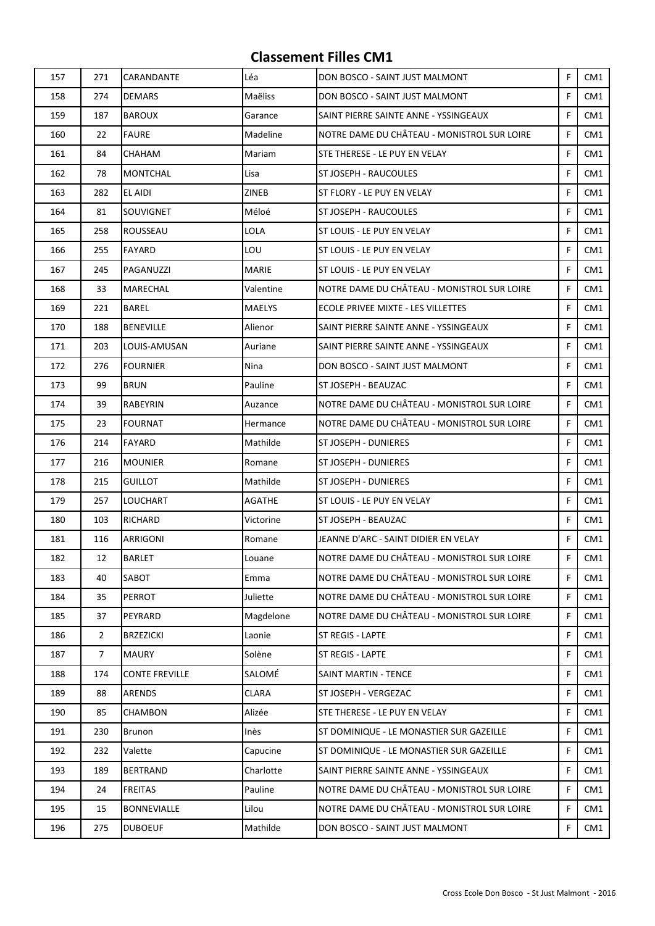| 157 | 271            | CARANDANTE            | Léa           | DON BOSCO - SAINT JUST MALMONT              | F | CM1             |
|-----|----------------|-----------------------|---------------|---------------------------------------------|---|-----------------|
| 158 | 274            | <b>DEMARS</b>         | Maëliss       | DON BOSCO - SAINT JUST MALMONT              | F | CM1             |
| 159 | 187            | <b>BAROUX</b>         | Garance       | SAINT PIERRE SAINTE ANNE - YSSINGEAUX       | F | CM1             |
| 160 | 22             | <b>FAURE</b>          | Madeline      | NOTRE DAME DU CHÂTEAU - MONISTROL SUR LOIRE | F | CM1             |
| 161 | 84             | CHAHAM                | Mariam        | STE THERESE - LE PUY EN VELAY               | F | CM1             |
| 162 | 78             | <b>MONTCHAL</b>       | Lisa          | ST JOSEPH - RAUCOULES                       | F | CM <sub>1</sub> |
| 163 | 282            | EL AIDI               | ZINEB         | ST FLORY - LE PUY EN VELAY                  | F | CM1             |
| 164 | 81             | SOUVIGNET             | Méloé         | ST JOSEPH - RAUCOULES                       | F | CM <sub>1</sub> |
| 165 | 258            | ROUSSEAU              | LOLA          | ST LOUIS - LE PUY EN VELAY                  | F | CM1             |
| 166 | 255            | FAYARD                | LOU           | ST LOUIS - LE PUY EN VELAY                  | F | CM1             |
| 167 | 245            | PAGANUZZI             | <b>MARIE</b>  | ST LOUIS - LE PUY EN VELAY                  | F | CM1             |
| 168 | 33             | MARECHAL              | Valentine     | NOTRE DAME DU CHÂTEAU - MONISTROL SUR LOIRE | F | CM1             |
| 169 | 221            | <b>BAREL</b>          | <b>MAELYS</b> | ECOLE PRIVEE MIXTE - LES VILLETTES          | F | CM1             |
| 170 | 188            | <b>BENEVILLE</b>      | Alienor       | SAINT PIERRE SAINTE ANNE - YSSINGEAUX       | F | CM1             |
| 171 | 203            | LOUIS-AMUSAN          | Auriane       | SAINT PIERRE SAINTE ANNE - YSSINGEAUX       | F | CM <sub>1</sub> |
| 172 | 276            | <b>FOURNIER</b>       | Nina          | DON BOSCO - SAINT JUST MALMONT              | F | CM <sub>1</sub> |
| 173 | 99             | <b>BRUN</b>           | Pauline       | ST JOSEPH - BEAUZAC                         | F | CM <sub>1</sub> |
| 174 | 39             | RABEYRIN              | Auzance       | NOTRE DAME DU CHÂTEAU - MONISTROL SUR LOIRE | F | CM <sub>1</sub> |
| 175 | 23             | <b>FOURNAT</b>        | Hermance      | NOTRE DAME DU CHÂTEAU - MONISTROL SUR LOIRE | F | CM1             |
| 176 | 214            | <b>FAYARD</b>         | Mathilde      | ST JOSEPH - DUNIERES                        | F | CM1             |
| 177 | 216            | <b>MOUNIER</b>        | Romane        | ST JOSEPH - DUNIERES                        | F | CM1             |
| 178 | 215            | <b>GUILLOT</b>        | Mathilde      | ST JOSEPH - DUNIERES                        | F | CM <sub>1</sub> |
| 179 | 257            | LOUCHART              | AGATHE        | ST LOUIS - LE PUY EN VELAY                  | F | CM <sub>1</sub> |
| 180 | 103            | RICHARD               | Victorine     | ST JOSEPH - BEAUZAC                         | F | CM1             |
| 181 | 116            | ARRIGONI              | Romane        | JEANNE D'ARC - SAINT DIDIER EN VELAY        | F | CM1             |
| 182 | 12             | <b>BARLET</b>         | Louane        | NOTRE DAME DU CHÂTEAU - MONISTROL SUR LOIRE | F | CM1             |
| 183 | 40             | SABOT                 | Emma          | NOTRE DAME DU CHÂTEAU - MONISTROL SUR LOIRE | F | CM1             |
| 184 | 35             | PERROT                | Juliette      | NOTRE DAME DU CHÂTEAU - MONISTROL SUR LOIRE | F | CM1             |
| 185 | 37             | PEYRARD               | Magdelone     | NOTRE DAME DU CHÂTEAU - MONISTROL SUR LOIRE | F | CM1             |
| 186 | $\overline{2}$ | <b>BRZEZICKI</b>      | Laonie        | <b>ST REGIS - LAPTE</b>                     | F | CM1             |
| 187 | 7              | <b>MAURY</b>          | Solène        | ST REGIS - LAPTE                            | F | CM1             |
| 188 | 174            | <b>CONTE FREVILLE</b> | SALOMÉ        | <b>SAINT MARTIN - TENCE</b>                 | F | CM1             |
| 189 | 88             | ARENDS                | <b>CLARA</b>  | ST JOSEPH - VERGEZAC                        | F | CM1             |
| 190 | 85             | CHAMBON               | Alizée        | STE THERESE - LE PUY EN VELAY               | F | CM1             |
| 191 | 230            | Brunon                | Inès          | ST DOMINIQUE - LE MONASTIER SUR GAZEILLE    | F | CM1             |
| 192 | 232            | Valette               | Capucine      | ST DOMINIQUE - LE MONASTIER SUR GAZEILLE    | F | CM1             |
| 193 | 189            | <b>BERTRAND</b>       | Charlotte     | SAINT PIERRE SAINTE ANNE - YSSINGEAUX       | F | CM1             |
| 194 | 24             | <b>FREITAS</b>        | Pauline       | NOTRE DAME DU CHÂTEAU - MONISTROL SUR LOIRE | F | CM1             |
| 195 | 15             | <b>BONNEVIALLE</b>    | Lilou         | NOTRE DAME DU CHÂTEAU - MONISTROL SUR LOIRE | F | CM1             |
| 196 | 275            | <b>DUBOEUF</b>        | Mathilde      | DON BOSCO - SAINT JUST MALMONT              | F | CM1             |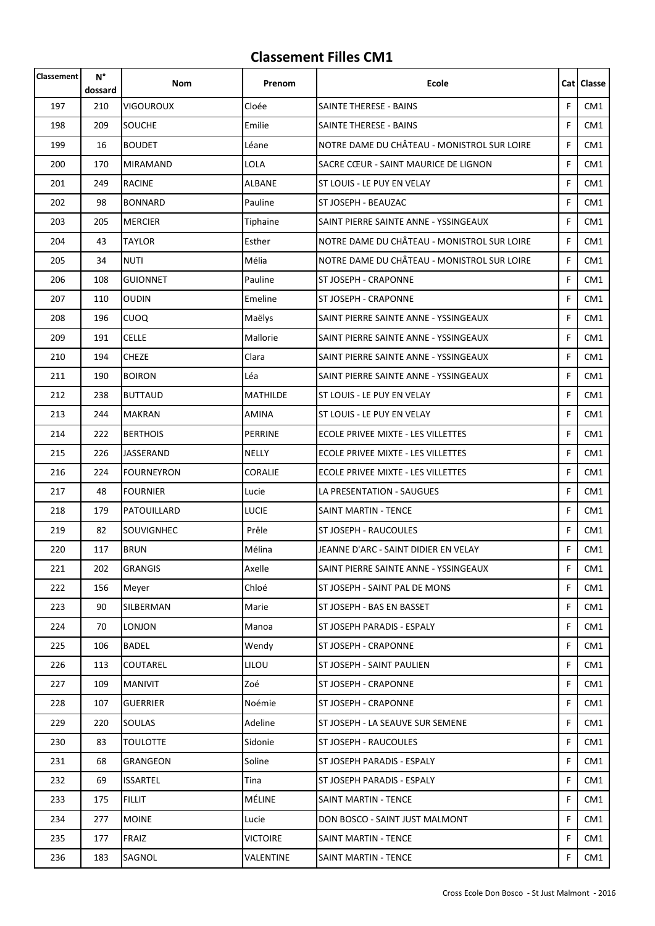| Classement | N°<br>dossard | Nom               | Prenom          | <b>Ecole</b>                                |    | Cat   Classe    |
|------------|---------------|-------------------|-----------------|---------------------------------------------|----|-----------------|
| 197        | 210           | <b>VIGOUROUX</b>  | Cloée           | <b>SAINTE THERESE - BAINS</b>               | F  | CM1             |
| 198        | 209           | SOUCHE            | Emilie          | SAINTE THERESE - BAINS                      | F  | CM <sub>1</sub> |
| 199        | 16            | <b>BOUDET</b>     | Léane           | NOTRE DAME DU CHÂTEAU - MONISTROL SUR LOIRE | F  | CM1             |
| 200        | 170           | <b>MIRAMAND</b>   | LOLA            | SACRE CŒUR - SAINT MAURICE DE LIGNON        | F  | CM <sub>1</sub> |
| 201        | 249           | <b>RACINE</b>     | ALBANE          | ST LOUIS - LE PUY EN VELAY                  | F  | CM1             |
| 202        | 98            | <b>BONNARD</b>    | Pauline         | ST JOSEPH - BEAUZAC                         | F  | CM <sub>1</sub> |
| 203        | 205           | <b>MERCIER</b>    | Tiphaine        | SAINT PIERRE SAINTE ANNE - YSSINGEAUX       | F  | CM1             |
| 204        | 43            | <b>TAYLOR</b>     | Esther          | NOTRE DAME DU CHÂTEAU - MONISTROL SUR LOIRE | F  | CM <sub>1</sub> |
| 205        | 34            | <b>NUTI</b>       | Mélia           | NOTRE DAME DU CHÂTEAU - MONISTROL SUR LOIRE | F. | CM <sub>1</sub> |
| 206        | 108           | <b>GUIONNET</b>   | Pauline         | ST JOSEPH - CRAPONNE                        | F  | CM1             |
| 207        | 110           | <b>OUDIN</b>      | Emeline         | <b>ST JOSEPH - CRAPONNE</b>                 | F  | CM1             |
| 208        | 196           | <b>CUOQ</b>       | Maëlys          | SAINT PIERRE SAINTE ANNE - YSSINGEAUX       | F  | CM1             |
| 209        | 191           | <b>CELLE</b>      | Mallorie        | SAINT PIERRE SAINTE ANNE - YSSINGEAUX       | F  | CM1             |
| 210        | 194           | <b>CHEZE</b>      | Clara           | SAINT PIERRE SAINTE ANNE - YSSINGEAUX       | F  | CM1             |
| 211        | 190           | <b>BOIRON</b>     | Léa             | SAINT PIERRE SAINTE ANNE - YSSINGEAUX       | F  | CM1             |
| 212        | 238           | <b>BUTTAUD</b>    | <b>MATHILDE</b> | ST LOUIS - LE PUY EN VELAY                  | F  | CM <sub>1</sub> |
| 213        | 244           | <b>MAKRAN</b>     | <b>AMINA</b>    | ST LOUIS - LE PUY EN VELAY                  | F  | CM1             |
| 214        | 222           | <b>BERTHOIS</b>   | <b>PERRINE</b>  | ECOLE PRIVEE MIXTE - LES VILLETTES          | F  | CM1             |
| 215        | 226           | JASSERAND         | NELLY           | ECOLE PRIVEE MIXTE - LES VILLETTES          | F  | CM1             |
| 216        | 224           | <b>FOURNEYRON</b> | <b>CORALIE</b>  | ECOLE PRIVEE MIXTE - LES VILLETTES          | F  | CM1             |
| 217        | 48            | <b>FOURNIER</b>   | Lucie           | LA PRESENTATION - SAUGUES                   | F  | CM1             |
| 218        | 179           | PATOUILLARD       | LUCIE           | SAINT MARTIN - TENCE                        | F  | CM <sub>1</sub> |
| 219        | 82            | SOUVIGNHEC        | Prêle           | ST JOSEPH - RAUCOULES                       | F  | CM1             |
| 220        | 117           | <b>BRUN</b>       | Mélina          | JEANNE D'ARC - SAINT DIDIER EN VELAY        | F  | CM1             |
| 221        | 202           | <b>GRANGIS</b>    | Axelle          | SAINT PIERRE SAINTE ANNE - YSSINGEAUX       | F  | CM1             |
| 222        | 156           | Meyer             | Chloé           | ST JOSEPH - SAINT PAL DE MONS               | F  | CM1             |
| 223        | 90            | SILBERMAN         | Marie           | ST JOSEPH - BAS EN BASSET                   | F  | CM1             |
| 224        | 70            | <b>LONJON</b>     | Manoa           | ST JOSEPH PARADIS - ESPALY                  | F  | CM1             |
| 225        | 106           | <b>BADEL</b>      | Wendy           | ST JOSEPH - CRAPONNE                        | F  | CM1             |
| 226        | 113           | COUTAREL          | LILOU           | ST JOSEPH - SAINT PAULIEN                   | F  | CM1             |
| 227        | 109           | MANIVIT           | Zoé             | <b>ST JOSEPH - CRAPONNE</b>                 | F  | CM1             |
| 228        | 107           | <b>GUERRIER</b>   | Noémie          | <b>ST JOSEPH - CRAPONNE</b>                 | F  | CM1             |
| 229        | 220           | SOULAS            | Adeline         | ST JOSEPH - LA SEAUVE SUR SEMENE            | F  | CM1             |
| 230        | 83            | <b>TOULOTTE</b>   | Sidonie         | ST JOSEPH - RAUCOULES                       | F  | CM1             |
| 231        | 68            | GRANGEON          | Soline          | ST JOSEPH PARADIS - ESPALY                  | F  | CM1             |
| 232        | 69            | <b>ISSARTEL</b>   | Tina            | ST JOSEPH PARADIS - ESPALY                  | F  | CM1             |
| 233        | 175           | <b>FILLIT</b>     | MÉLINE          | <b>SAINT MARTIN - TENCE</b>                 | F  | CM1             |
| 234        | 277           | <b>MOINE</b>      | Lucie           | DON BOSCO - SAINT JUST MALMONT              | F  | CM1             |
| 235        | 177           | FRAIZ             | <b>VICTOIRE</b> | <b>SAINT MARTIN - TENCE</b>                 | F  | CM1             |
| 236        | 183           | SAGNOL            | VALENTINE       | SAINT MARTIN - TENCE                        | F  | CM1             |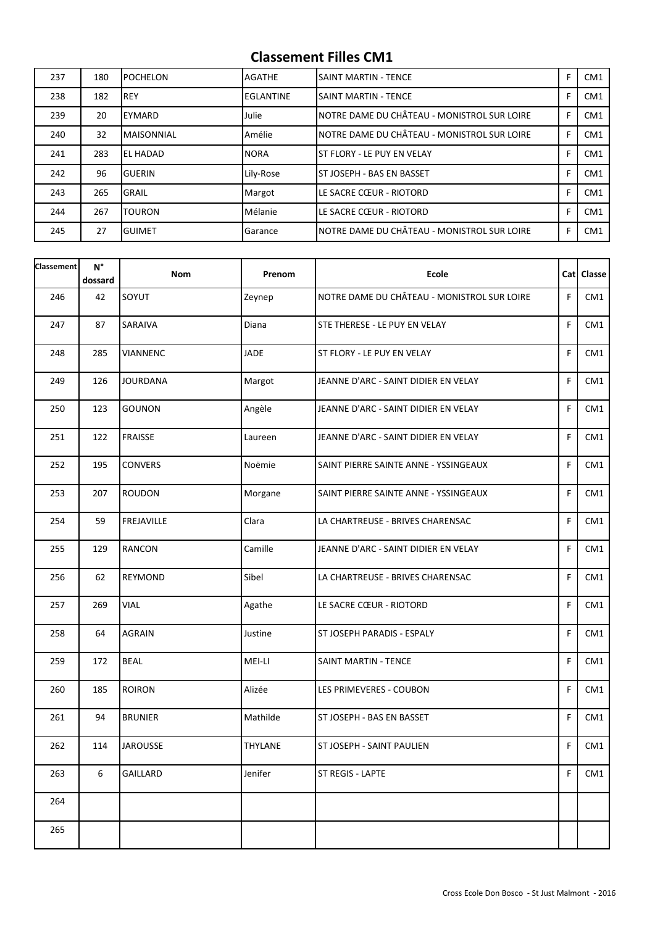| 237 | 180 | <b>POCHELON</b>   | AGATHE      | <b>SAINT MARTIN - TENCE</b>                 | F | CM <sub>1</sub> |
|-----|-----|-------------------|-------------|---------------------------------------------|---|-----------------|
| 238 | 182 | <b>REY</b>        | EGLANTINE   | <b>SAINT MARTIN - TENCE</b>                 | F | CM <sub>1</sub> |
| 239 | 20  | EYMARD            | Julie       | NOTRE DAME DU CHÂTEAU - MONISTROL SUR LOIRE | F | CM <sub>1</sub> |
| 240 | 32  | <b>MAISONNIAL</b> | Amélie      | NOTRE DAME DU CHÂTEAU - MONISTROL SUR LOIRE | F | CM <sub>1</sub> |
| 241 | 283 | EL HADAD          | <b>NORA</b> | <b>ST FLORY - LE PUY EN VELAY</b>           |   | CM <sub>1</sub> |
| 242 | 96  | <b>GUERIN</b>     | Lily-Rose   | <b>ST JOSEPH - BAS EN BASSET</b>            | F | CM <sub>1</sub> |
| 243 | 265 | <b>GRAIL</b>      | Margot      | LE SACRE CŒUR - RIOTORD                     |   | CM <sub>1</sub> |
| 244 | 267 | <b>TOURON</b>     | Mélanie     | LE SACRE CŒUR - RIOTORD                     | F | CM <sub>1</sub> |
| 245 | 27  | <b>GUIMET</b>     | Garance     | NOTRE DAME DU CHÂTEAU - MONISTROL SUR LOIRE | F | CM <sub>1</sub> |

| <b>Classement</b> | $\mathsf{N}^\circ$<br>dossard | <b>Nom</b>      | Prenom         | <b>Ecole</b>                                |    | Cat Classe |
|-------------------|-------------------------------|-----------------|----------------|---------------------------------------------|----|------------|
| 246               | 42                            | SOYUT           | Zeynep         | NOTRE DAME DU CHÂTEAU - MONISTROL SUR LOIRE | F. | CM1        |
| 247               | 87                            | SARAIVA         | Diana          | STE THERESE - LE PUY EN VELAY               | F  | CM1        |
| 248               | 285                           | <b>VIANNENC</b> | <b>JADE</b>    | ST FLORY - LE PUY EN VELAY                  | F. | CM1        |
| 249               | 126                           | <b>JOURDANA</b> | Margot         | JEANNE D'ARC - SAINT DIDIER EN VELAY        | F. | CM1        |
| 250               | 123                           | GOUNON          | Angèle         | JEANNE D'ARC - SAINT DIDIER EN VELAY        | F  | CM1        |
| 251               | 122                           | FRAISSE         | Laureen        | JEANNE D'ARC - SAINT DIDIER EN VELAY        | F  | CM1        |
| 252               | 195                           | <b>CONVERS</b>  | Noëmie         | SAINT PIERRE SAINTE ANNE - YSSINGEAUX       | F  | CM1        |
| 253               | 207                           | <b>ROUDON</b>   | Morgane        | SAINT PIERRE SAINTE ANNE - YSSINGEAUX       | F  | CM1        |
| 254               | 59                            | FREJAVILLE      | Clara          | LA CHARTREUSE - BRIVES CHARENSAC            | F  | CM1        |
| 255               | 129                           | <b>RANCON</b>   | Camille        | JEANNE D'ARC - SAINT DIDIER EN VELAY        | F  | CM1        |
| 256               | 62                            | <b>REYMOND</b>  | Sibel          | LA CHARTREUSE - BRIVES CHARENSAC            | F  | CM1        |
| 257               | 269                           | <b>VIAL</b>     | Agathe         | LE SACRE CŒUR - RIOTORD                     | F  | CM1        |
| 258               | 64                            | <b>AGRAIN</b>   | Justine        | ST JOSEPH PARADIS - ESPALY                  | F  | CM1        |
| 259               | 172                           | <b>BEAL</b>     | MEI-LI         | <b>SAINT MARTIN - TENCE</b>                 | F  | CM1        |
| 260               | 185                           | <b>ROIRON</b>   | Alizée         | LES PRIMEVERES - COUBON                     | F  | CM1        |
| 261               | 94                            | <b>BRUNIER</b>  | Mathilde       | ST JOSEPH - BAS EN BASSET                   | F. | CM1        |
| 262               | 114                           | <b>JAROUSSE</b> | <b>THYLANE</b> | ST JOSEPH - SAINT PAULIEN                   | F  | CM1        |
| 263               | 6                             | GAILLARD        | Jenifer        | ST REGIS - LAPTE                            | F  | CM1        |
| 264               |                               |                 |                |                                             |    |            |
| 265               |                               |                 |                |                                             |    |            |